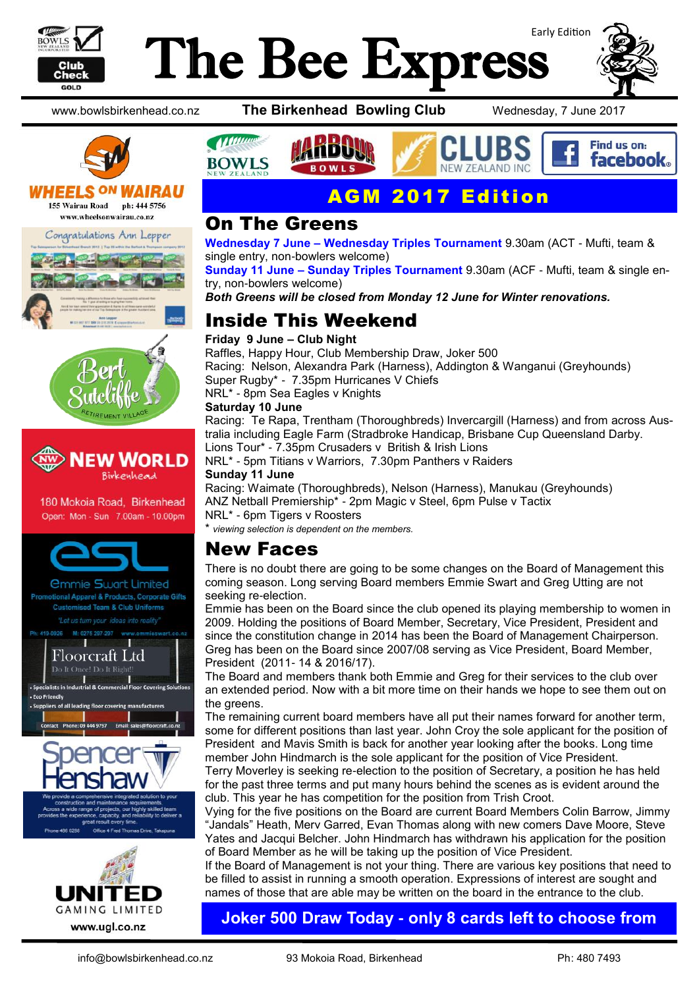

## Early Edition The Bee Express





#### WHEELS <sup>ON</sup> W IRAU

155 Wairau Road ph: 444 5756 www.wheelsonwairau.co.nz







180 Mokoia Road, Birkenhead Open: Mon - Sun 7.00am - 10.00pm



"Let us turn your ideas into reality



- Fro Frie











#### AGM 2017 Edition

#### On The Greens

**Wednesday 7 June – Wednesday Triples Tournament** 9.30am (ACT - Mufti, team & single entry, non-bowlers welcome)

**Sunday 11 June – Sunday Triples Tournament** 9.30am (ACF - Mufti, team & single entry, non-bowlers welcome)

*Both Greens will be closed from Monday 12 June for Winter renovations.*

### Inside This Weekend

#### **Friday 9 June – Club Night**

Raffles, Happy Hour, Club Membership Draw, Joker 500 Racing: Nelson, Alexandra Park (Harness), Addington & Wanganui (Greyhounds) Super Rugby\* - 7.35pm Hurricanes V Chiefs NRL\* - 8pm Sea Eagles v Knights

#### **Saturday 10 June**

Racing: Te Rapa, Trentham (Thoroughbreds) Invercargill (Harness) and from across Australia including Eagle Farm (Stradbroke Handicap, Brisbane Cup Queensland Darby. Lions Tour\* - 7.35pm Crusaders v British & Irish Lions

NRL\* - 5pm Titians v Warriors, 7.30pm Panthers v Raiders **Sunday 11 June**

Racing: Waimate (Thoroughbreds), Nelson (Harness), Manukau (Greyhounds) ANZ Netball Premiership\* - 2pm Magic v Steel, 6pm Pulse v Tactix

NRL\* - 6pm Tigers v Roosters

\* *viewing selection is dependent on the members.* 

#### New Faces

There is no doubt there are going to be some changes on the Board of Management this coming season. Long serving Board members Emmie Swart and Greg Utting are not seeking re-election.

Emmie has been on the Board since the club opened its playing membership to women in 2009. Holding the positions of Board Member, Secretary, Vice President, President and since the constitution change in 2014 has been the Board of Management Chairperson. Greg has been on the Board since 2007/08 serving as Vice President, Board Member, President (2011- 14 & 2016/17).

The Board and members thank both Emmie and Greg for their services to the club over an extended period. Now with a bit more time on their hands we hope to see them out on the greens.

The remaining current board members have all put their names forward for another term, some for different positions than last year. John Croy the sole applicant for the position of President and Mavis Smith is back for another year looking after the books. Long time member John Hindmarch is the sole applicant for the position of Vice President.

Terry Moverley is seeking re-election to the position of Secretary, a position he has held for the past three terms and put many hours behind the scenes as is evident around the club. This year he has competition for the position from Trish Croot.

Vying for the five positions on the Board are current Board Members Colin Barrow, Jimmy "Jandals" Heath, Merv Garred, Evan Thomas along with new comers Dave Moore, Steve Yates and Jacqui Belcher. John Hindmarch has withdrawn his application for the position of Board Member as he will be taking up the position of Vice President.

If the Board of Management is not your thing. There are various key positions that need to be filled to assist in running a smooth operation. Expressions of interest are sought and names of those that are able may be written on the board in the entrance to the club.

#### **Joker 500 Draw Today - only 8 cards left to choose from**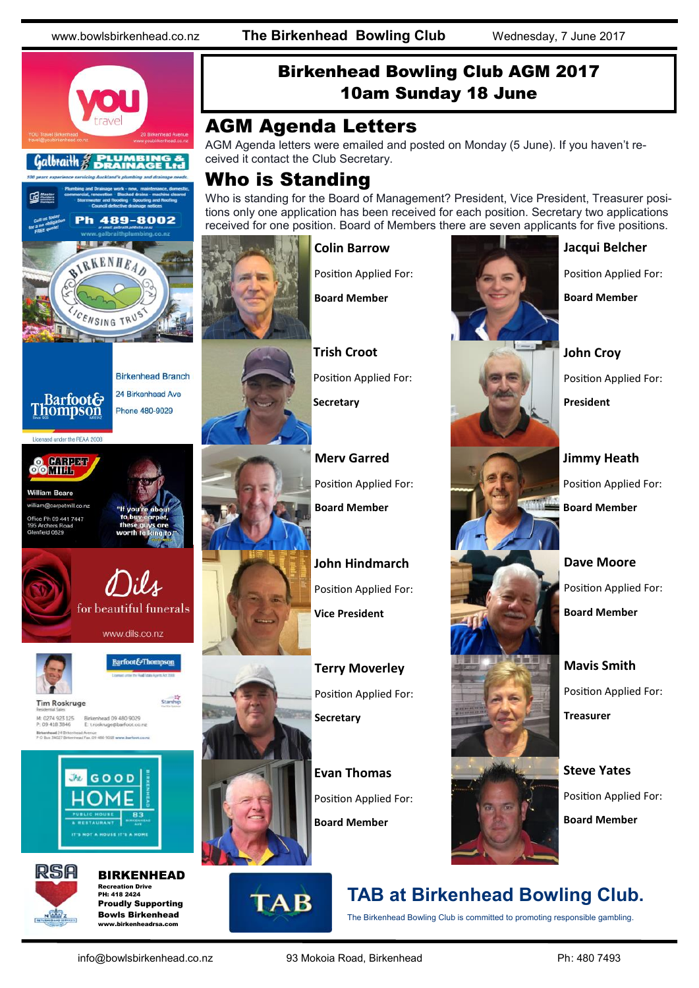



#### arpetmill.co.nz Office Ph 09 441 7447 field 0629







Barfoot&Thompson

Starship

**Tim Roskruge** Birkenhead 09 480 9029<br>E troskruge@barfoot.co M: 0274 923 125<br>P: 09 418 3846 Birkenhead 24 Britis





BIRKENHEAD Recreation Drive PH: 418 2424 Proudly Supporting Bowls Birkenhead www.birkenheadrea.com

#### Birkenhead Bowling Club AGM 2017 10am Sunday 18 June

#### AGM Agenda Letters

AGM Agenda letters were emailed and posted on Monday (5 June). If you haven't received it contact the Club Secretary.

#### Who is Standing

Who is standing for the Board of Management? President, Vice President, Treasurer positions only one application has been received for each position. Secretary two applications received for one position. Board of Members there are seven applicants for five positions.



#### Position Applied For:

**Colin Barrow**

**Board Member**

**Trish Croot** Position Applied For: **Secretary**

**Merv Garred** Position Applied For: **Board Member**

**John Hindmarch** Position Applied For: **Vice President**

**Terry Moverley** Position Applied For: **Secretary**

**Evan Thomas** Position Applied For: **Board Member**



## **TAB at Birkenhead Bowling Club.**

The Birkenhead Bowling Club is committed to promoting responsible gambling.



#### **Jacqui Belcher**

Position Applied For:

**Board Member**

**John Croy** Position Applied For: **President**

**Jimmy Heath** Position Applied For: **Board Member**

**Dave Moore** Position Applied For: **Board Member**

**Mavis Smith** Position Applied For: **Treasurer**

**Steve Yates** Position Applied For: **Board Member**



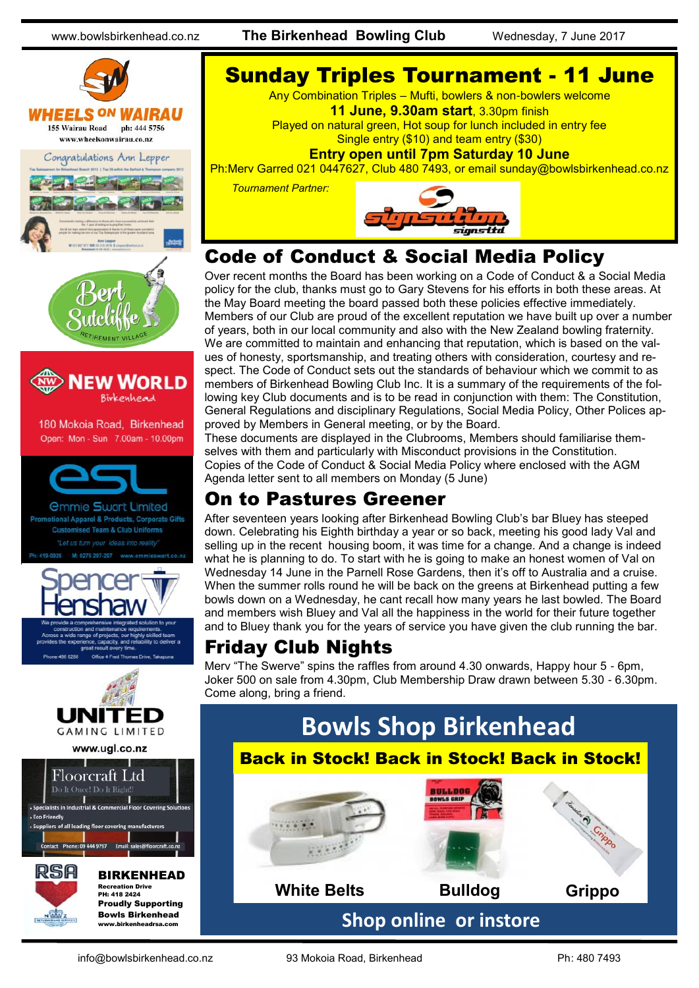www.bowlsbirkenhead.co.nz **The Birkenhead Bowling Club** Wednesday, 7 June 2017





*<u>Ommie Swart Limited</u>* al Apparel & Products, Corporate Gifts sed Team & Club Uniforms t us turn your ideas into reality 0275 297-297







Recreation Drive PH: 418 2424 Proudly Supporting Bowls Birkenhead www.birkenheadrea.com

## Sunday Triples Tournament - 11 June

Any Combination Triples – Mufti, bowlers & non-bowlers welcome

**11 June, 9.30am start**, 3.30pm finish

Played on natural green, Hot soup for lunch included in entry fee Single entry (\$10) and team entry (\$30)

**Entry open until 7pm Saturday 10 June** 

Ph:Merv Garred 021 0447627, Club 480 7493, or email sunday@bowlsbirkenhead.co.nz

 *Tournament Partner:* 



### Code of Conduct & Social Media Policy

Over recent months the Board has been working on a Code of Conduct & a Social Media policy for the club, thanks must go to Gary Stevens for his efforts in both these areas. At the May Board meeting the board passed both these policies effective immediately. Members of our Club are proud of the excellent reputation we have built up over a number of years, both in our local community and also with the New Zealand bowling fraternity. We are committed to maintain and enhancing that reputation, which is based on the values of honesty, sportsmanship, and treating others with consideration, courtesy and respect. The Code of Conduct sets out the standards of behaviour which we commit to as members of Birkenhead Bowling Club Inc. It is a summary of the requirements of the following key Club documents and is to be read in conjunction with them: The Constitution, General Regulations and disciplinary Regulations, Social Media Policy, Other Polices approved by Members in General meeting, or by the Board.

These documents are displayed in the Clubrooms, Members should familiarise themselves with them and particularly with Misconduct provisions in the Constitution. Copies of the Code of Conduct & Social Media Policy where enclosed with the AGM Agenda letter sent to all members on Monday (5 June)

### On to Pastures Greener

After seventeen years looking after Birkenhead Bowling Club's bar Bluey has steeped down. Celebrating his Eighth birthday a year or so back, meeting his good lady Val and selling up in the recent housing boom, it was time for a change. And a change is indeed what he is planning to do. To start with he is going to make an honest women of Val on Wednesday 14 June in the Parnell Rose Gardens, then it's off to Australia and a cruise. When the summer rolls round he will be back on the greens at Birkenhead putting a few bowls down on a Wednesday, he cant recall how many years he last bowled. The Board and members wish Bluey and Val all the happiness in the world for their future together and to Bluey thank you for the years of service you have given the club running the bar.

## Friday Club Nights

Merv "The Swerve" spins the raffles from around 4.30 onwards, Happy hour 5 - 6pm, Joker 500 on sale from 4.30pm, Club Membership Draw drawn between 5.30 - 6.30pm. Come along, bring a friend.